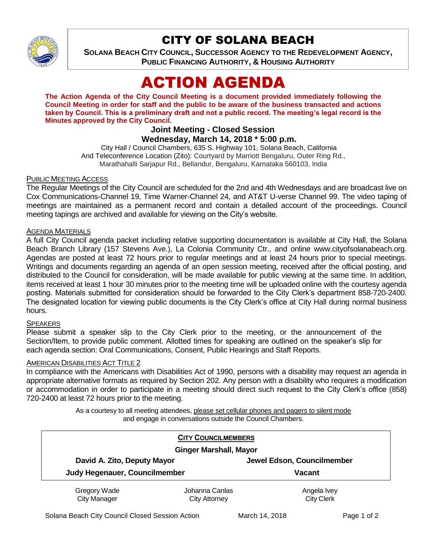

# CITY OF SOLANA BEACH

**SOLANA BEACH CITY COUNCIL, SUCCESSOR AGENCY TO THE REDEVELOPMENT AGENCY, PUBLIC FINANCING AUTHORITY, & HOUSING AUTHORITY** 

# ACTION AGENDA

**The Action Agenda of the City Council Meeting is a document provided immediately following the Council Meeting in order for staff and the public to be aware of the business transacted and actions taken by Council. This is a preliminary draft and not a public record. The meeting's legal record is the Minutes approved by the City Council.**

### **Joint Meeting - Closed Session Wednesday, March 14, 2018 \* 5:00 p.m.**

City Hall / Council Chambers, 635 S. Highway 101, Solana Beach, California And Teleconference Location (Zito): Courtyard by Marriott Bengaluru, Outer Ring Rd., Marathahalli Sarjapur Rd., Bellandur, Bengaluru, Karnataka 560103, India

#### PUBLIC MEETING ACCESS

The Regular Meetings of the City Council are scheduled for the 2nd and 4th Wednesdays and are broadcast live on Cox Communications-Channel 19, Time Warner-Channel 24, and AT&T U-verse Channel 99. The video taping of meetings are maintained as a permanent record and contain a detailed account of the proceedings. Council meeting tapings are archived and available for viewing on the City's website.

#### AGENDA MATERIALS

A full City Council agenda packet including relative supporting documentation is available at City Hall, the Solana Beach Branch Library (157 Stevens Ave.), La Colonia Community Ctr., and online www.cityofsolanabeach.org. Agendas are posted at least 72 hours prior to regular meetings and at least 24 hours prior to special meetings. Writings and documents regarding an agenda of an open session meeting, received after the official posting, and distributed to the Council for consideration, will be made available for public viewing at the same time. In addition, items received at least 1 hour 30 minutes prior to the meeting time will be uploaded online with the courtesy agenda posting. Materials submitted for consideration should be forwarded to the City Clerk's department 858-720-2400. The designated location for viewing public documents is the City Clerk's office at City Hall during normal business hours.

#### **SPEAKERS**

Please submit a speaker slip to the City Clerk prior to the meeting, or the announcement of the Section/Item, to provide public comment. Allotted times for speaking are outlined on the speaker's slip for each agenda section: Oral Communications, Consent, Public Hearings and Staff Reports.

#### AMERICAN DISABILITIES ACT TITLE 2

In compliance with the Americans with Disabilities Act of 1990, persons with a disability may request an agenda in appropriate alternative formats as required by Section 202. Any person with a disability who requires a modification or accommodation in order to participate in a meeting should direct such request to the City Clerk's office (858) 720-2400 at least 72 hours prior to the meeting.

> As a courtesy to all meeting attendees, please set cellular phones and pagers to silent mode and engage in conversations outside the Council Chambers.

| <b>CITY COUNCILMEMBERS</b><br><b>Ginger Marshall, Mayor</b> |                                        |                                  |
|-------------------------------------------------------------|----------------------------------------|----------------------------------|
|                                                             |                                        |                                  |
| Judy Hegenauer, Councilmember                               |                                        | <b>Vacant</b>                    |
| Gregory Wade<br><b>City Manager</b>                         | Johanna Canlas<br><b>City Attorney</b> | Angela Ivey<br><b>City Clerk</b> |